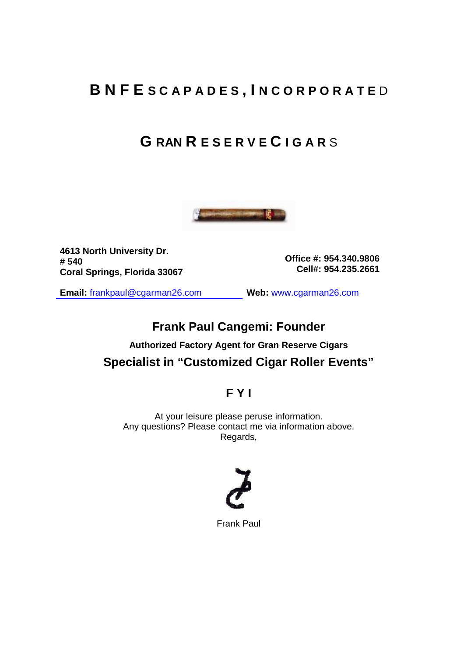# **B N F E S C A P A D E S , I N C O R P O R A T E** D

# **G RAN R E S E R V E C I G A R** S



**4613 North University Dr. # 540 Coral Springs, Florida 33067** 

**Office #: 954.340.9806 Cell#: 954.235.2661** 

**Email:** frankpaul@cgarman26.com **Web:** www.cgarman26.com

### **Frank Paul Cangemi: Founder**

## **Authorized Factory Agent for Gran Reserve Cigars Specialist in "Customized Cigar Roller Events"**

### **F Y I**

At your leisure please peruse information. Any questions? Please contact me via information above. Regards,



Frank Paul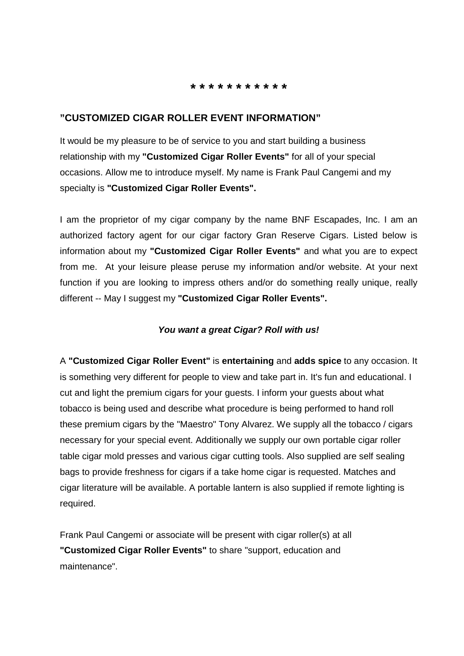#### **\* \* \* \* \* \* \* \* \* \* \***

#### **"CUSTOMIZED CIGAR ROLLER EVENT INFORMATION"**

It would be my pleasure to be of service to you and start building a business relationship with my **"Customized Cigar Roller Events"** for all of your special occasions. Allow me to introduce myself. My name is Frank Paul Cangemi and my specialty is **"Customized Cigar Roller Events".** 

I am the proprietor of my cigar company by the name BNF Escapades, Inc. I am an authorized factory agent for our cigar factory Gran Reserve Cigars. Listed below is information about my **"Customized Cigar Roller Events"** and what you are to expect from me. At your leisure please peruse my information and/or website. At your next function if you are looking to impress others and/or do something really unique, really different -- May I suggest my **"Customized Cigar Roller Events".** 

#### **You want a great Cigar? Roll with us!**

A **"Customized Cigar Roller Event"** is **entertaining** and **adds spice** to any occasion. It is something very different for people to view and take part in. It's fun and educational. I cut and light the premium cigars for your guests. I inform your guests about what tobacco is being used and describe what procedure is being performed to hand roll these premium cigars by the "Maestro" Tony Alvarez. We supply all the tobacco / cigars necessary for your special event. Additionally we supply our own portable cigar roller table cigar mold presses and various cigar cutting tools. Also supplied are self sealing bags to provide freshness for cigars if a take home cigar is requested. Matches and cigar literature will be available. A portable lantern is also supplied if remote lighting is required.

Frank Paul Cangemi or associate will be present with cigar roller(s) at all **"Customized Cigar Roller Events"** to share "support, education and maintenance".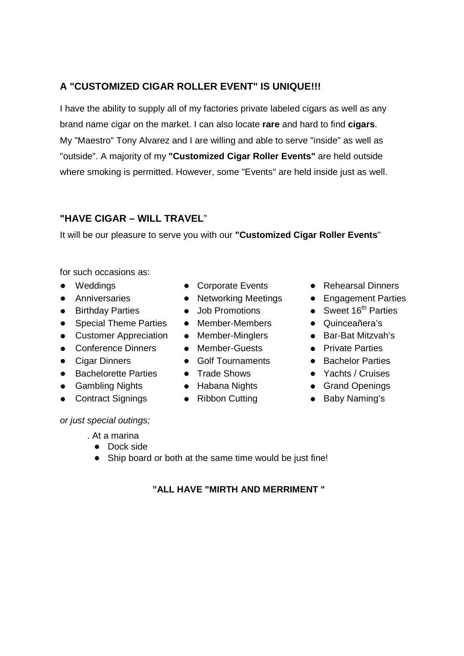### **A "CUSTOMIZED CIGAR ROLLER EVENT" IS UNIQUE!!!**

I have the ability to supply all of my factories private labeled cigars as well as any brand name cigar on the market. I can also locate **rare** and hard to find **cigars**. My "Maestro" Tony Alvarez and I are willing and able to serve "inside" as well as "outside". A majority of my **"Customized Cigar Roller Events"** are held outside where smoking is permitted. However, some "Events" are held inside just as well.

### **"HAVE CIGAR – WILL TRAVEL**"

It will be our pleasure to serve you with our **"Customized Cigar Roller Events**"

for such occasions as:

- 
- 
- 
- Special Theme Parties Member-Members Quinceañera's
- Customer Appreciation Member-Minglers Bar-Bat Mitzvah's
- Conference Dinners Member-Guests Private Parties
- 
- Bachelorette Parties Trade Shows Yachts / Cruises
- Gambling Nights Habana Nights Grand Openings
- Contract Signings Ribbon Cutting Baby Naming's

or just special outings;

. At a marina

- Dock side
- Ship board or both at the same time would be just fine!
	- **"ALL HAVE "MIRTH AND MERRIMENT "**
- Weddings Corporate Events Rehearsal Dinners
- Anniversaries Networking Meetings Engagement Parties
- Birthday Parties Job Promotions Sweet 16<sup>th</sup> Parties
	-
	-
	-
- Cigar Dinners Golf Tournaments Bachelor Parties
	-
	-
	-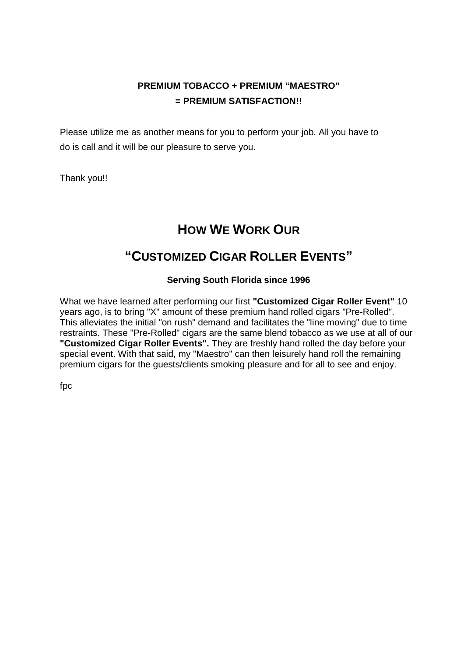### **PREMIUM TOBACCO + PREMIUM "MAESTRO" = PREMIUM SATISFACTION!!**

Please utilize me as another means for you to perform your job. All you have to do is call and it will be our pleasure to serve you.

Thank you!!

# **HOW WE WORK OUR**

# **"CUSTOMIZED CIGAR ROLLER EVENTS"**

### **Serving South Florida since 1996**

What we have learned after performing our first **"Customized Cigar Roller Event"** 10 years ago, is to bring "X" amount of these premium hand rolled cigars "Pre-Rolled". This alleviates the initial "on rush" demand and facilitates the "line moving" due to time restraints. These "Pre-Rolled" cigars are the same blend tobacco as we use at all of our **"Customized Cigar Roller Events".** They are freshly hand rolled the day before your special event. With that said, my "Maestro" can then leisurely hand roll the remaining premium cigars for the guests/clients smoking pleasure and for all to see and enjoy.

fpc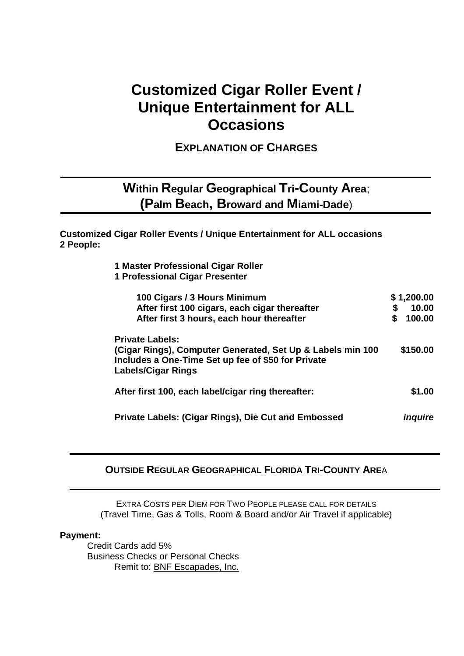# **Customized Cigar Roller Event / Unique Entertainment for ALL Occasions**

**EXPLANATION OF CHARGES** 

## **Within Regular Geographical Tri-County Area**; **(Palm Beach, Broward and Miami-Dade**)

**Customized Cigar Roller Events / Unique Entertainment for ALL occasions 2 People:** 

> **1 Master Professional Cigar Roller 1 Professional Cigar Presenter**

| 100 Cigars / 3 Hours Minimum<br>After first 100 cigars, each cigar thereafter<br>After first 3 hours, each hour thereafter                                              | \$1,200.00<br>\$<br>10.00<br>100.00<br>S |
|-------------------------------------------------------------------------------------------------------------------------------------------------------------------------|------------------------------------------|
| <b>Private Labels:</b><br>(Cigar Rings), Computer Generated, Set Up & Labels min 100<br>Includes a One-Time Set up fee of \$50 for Private<br><b>Labels/Cigar Rings</b> | \$150.00                                 |
| After first 100, each label/cigar ring thereafter:                                                                                                                      | \$1.00                                   |
| Private Labels: (Cigar Rings), Die Cut and Embossed                                                                                                                     | <i><b>Induire</b></i>                    |

#### **OUTSIDE REGULAR GEOGRAPHICAL FLORIDA TRI-COUNTY ARE**A

EXTRA COSTS PER DIEM FOR TWO PEOPLE PLEASE CALL FOR DETAILS (Travel Time, Gas & Tolls, Room & Board and/or Air Travel if applicable)

#### **Payment:**

Credit Cards add 5% Business Checks or Personal Checks Remit to: BNF Escapades, Inc.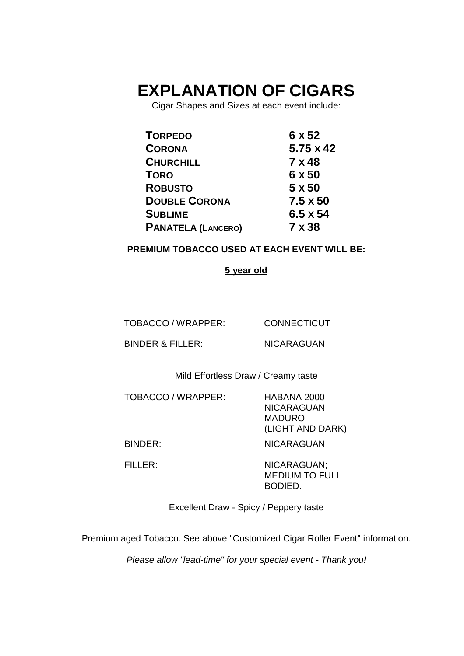# **EXPLANATION OF CIGARS**

Cigar Shapes and Sizes at each event include:

| <b>TORPEDO</b>            | 6 x 52           |
|---------------------------|------------------|
| <b>CORONA</b>             | $5.75 \times 42$ |
| <b>CHURCHILL</b>          | 7 x 48           |
| <b>TORO</b>               | 6 x 50           |
| <b>ROBUSTO</b>            | $5 \times 50$    |
| <b>DOUBLE CORONA</b>      | $7.5 \times 50$  |
| <b>SUBLIME</b>            | $6.5 \times 54$  |
| <b>PANATELA (LANCERO)</b> | 7 x 38           |

### **PREMIUM TOBACCO USED AT EACH EVENT WILL BE:**

#### **5 year old**

TOBACCO / WRAPPER:

CONNECTICUT

BINDER & FILLER:

NICARAGUAN

Mild Effortless Draw / Creamy taste

TOBACCO / WRAPPER: HABANA 2000

NICARAGUAN MADURO (LIGHT AND DARK)

BINDER: NICARAGUAN

FILLER: NICARAGUAN: MEDIUM TO FULL BODIED.

Excellent Draw - Spicy / Peppery taste

Premium aged Tobacco. See above "Customized Cigar Roller Event" information.

Please allow "lead-time" for your special event - Thank you!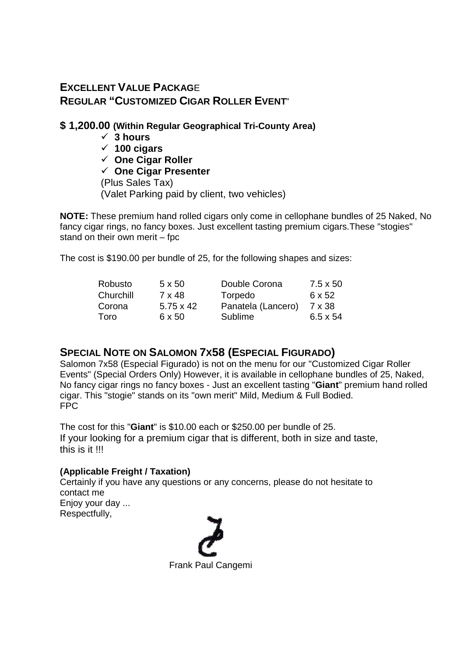### **EXCELLENT VALUE PACKAG**E **REGULAR "CUSTOMIZED CIGAR ROLLER EVENT**"

### **\$ 1,200.00 (Within Regular Geographical Tri-County Area)**

- **3 hours**
- **100 cigars**
- **One Cigar Roller**
- **One Cigar Presenter**

(Plus Sales Tax) (Valet Parking paid by client, two vehicles)

**NOTE:** These premium hand rolled cigars only come in cellophane bundles of 25 Naked, No fancy cigar rings, no fancy boxes. Just excellent tasting premium cigars.These "stogies" stand on their own merit – fpc

The cost is \$190.00 per bundle of 25, for the following shapes and sizes:

| $5 \times 50$    | Double Corona      | $7.5 \times 50$ |
|------------------|--------------------|-----------------|
| 7 x 48           | Torpedo            | 6 x 52          |
| $5.75 \times 42$ | Panatela (Lancero) | 7 x 38          |
| 6 x 50           | Sublime            | $6.5 \times 54$ |
|                  |                    |                 |

### **SPECIAL NOTE ON SALOMON 7X58 (ESPECIAL FIGURADO)**

Salomon 7x58 (Especial Figurado) is not on the menu for our "Customized Cigar Roller Events" (Special Orders Only) However, it is available in cellophane bundles of 25, Naked, No fancy cigar rings no fancy boxes - Just an excellent tasting "**Giant**" premium hand rolled cigar. This "stogie" stands on its "own merit" Mild, Medium & Full Bodied. FPC

The cost for this "**Giant**" is \$10.00 each or \$250.00 per bundle of 25. If your looking for a premium cigar that is different, both in size and taste, this is it !!!

### **(Applicable Freight / Taxation)**

Certainly if you have any questions or any concerns, please do not hesitate to contact me Enjoy your day ...

Respectfully,